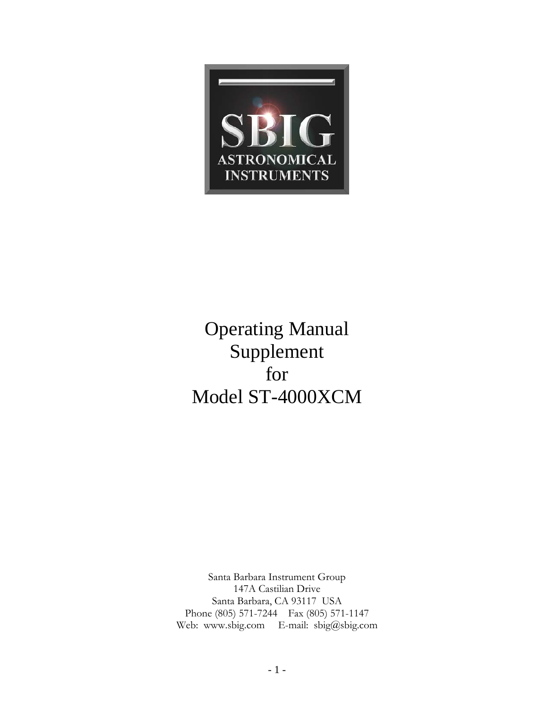

# Operating Manual Supplement for Model ST-4000XCM

Santa Barbara Instrument Group 147A Castilian Drive Santa Barbara, CA 93117 USA Phone (805) 571-7244 Fax (805) 571-1147 Web: www.sbig.com E-mail: sbig@sbig.com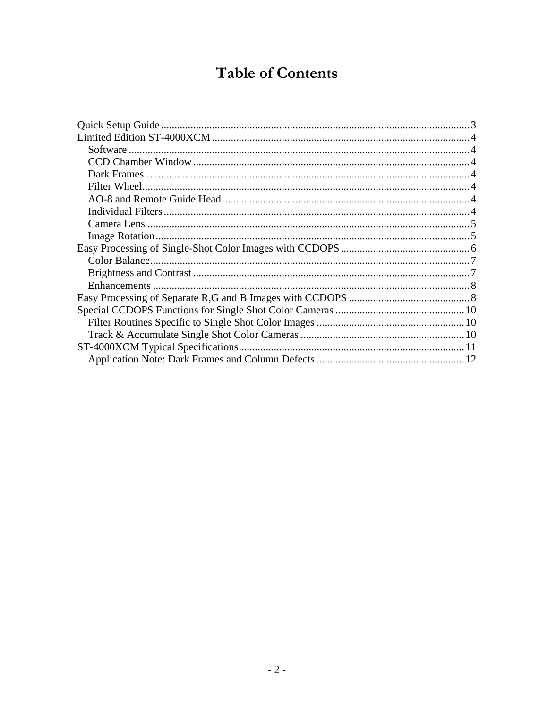## **Table of Contents**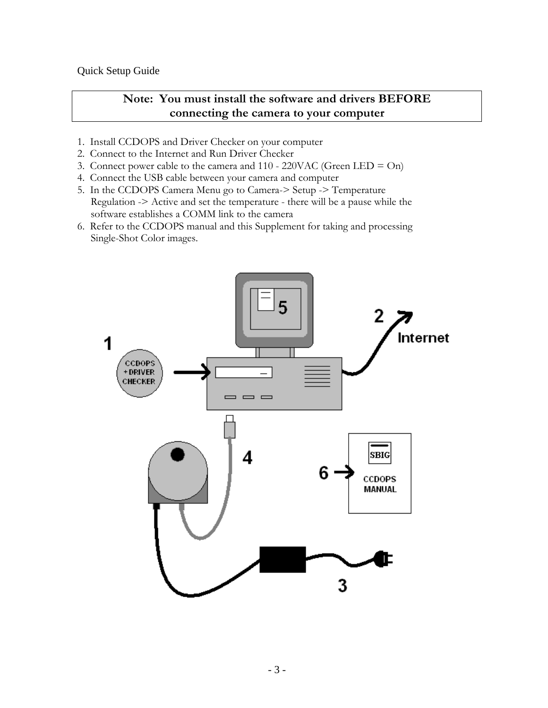<span id="page-2-0"></span>Quick Setup Guide

## **Note: You must install the software and drivers BEFORE connecting the camera to your computer**

- 1. Install CCDOPS and Driver Checker on your computer
- 2. Connect to the Internet and Run Driver Checker
- 3. Connect power cable to the camera and  $110 220$ VAC (Green LED = On)
- 4. Connect the USB cable between your camera and computer
- 5. In the CCDOPS Camera Menu go to Camera-> Setup -> Temperature Regulation -> Active and set the temperature - there will be a pause while the software establishes a COMM link to the camera
- 6. Refer to the CCDOPS manual and this Supplement for taking and processing Single-Shot Color images.

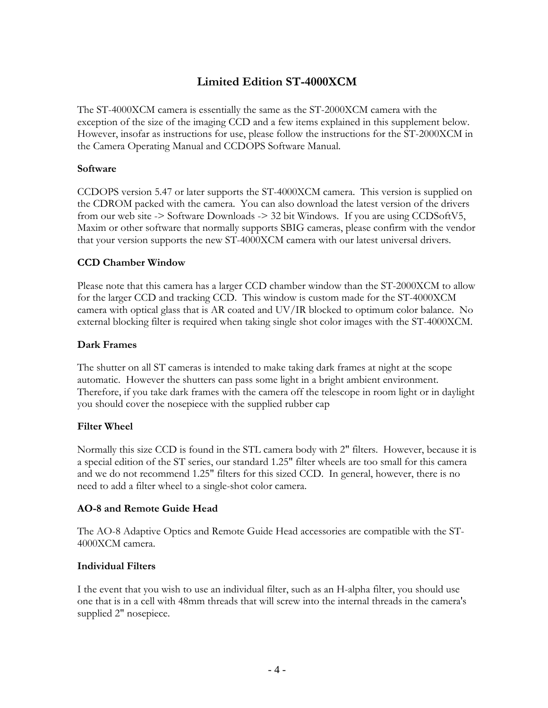## **Limited Edition ST-4000XCM**

<span id="page-3-0"></span>The ST-4000XCM camera is essentially the same as the ST-2000XCM camera with the exception of the size of the imaging CCD and a few items explained in this supplement below. However, insofar as instructions for use, please follow the instructions for the ST-2000XCM in the Camera Operating Manual and CCDOPS Software Manual.

#### **Software**

CCDOPS version 5.47 or later supports the ST-4000XCM camera. This version is supplied on the CDROM packed with the camera. You can also download the latest version of the drivers from our web site -> Software Downloads -> 32 bit Windows. If you are using CCDSoftV5, Maxim or other software that normally supports SBIG cameras, please confirm with the vendor that your version supports the new ST-4000XCM camera with our latest universal drivers.

#### **CCD Chamber Window**

Please note that this camera has a larger CCD chamber window than the ST-2000XCM to allow for the larger CCD and tracking CCD. This window is custom made for the ST-4000XCM camera with optical glass that is AR coated and UV/IR blocked to optimum color balance. No external blocking filter is required when taking single shot color images with the ST-4000XCM.

#### **Dark Frames**

The shutter on all ST cameras is intended to make taking dark frames at night at the scope automatic. However the shutters can pass some light in a bright ambient environment. Therefore, if you take dark frames with the camera off the telescope in room light or in daylight you should cover the nosepiece with the supplied rubber cap

#### **Filter Wheel**

Normally this size CCD is found in the STL camera body with 2" filters. However, because it is a special edition of the ST series, our standard 1.25" filter wheels are too small for this camera and we do not recommend 1.25" filters for this sized CCD. In general, however, there is no need to add a filter wheel to a single-shot color camera.

#### **AO-8 and Remote Guide Head**

The AO-8 Adaptive Optics and Remote Guide Head accessories are compatible with the ST-4000XCM camera.

#### **Individual Filters**

I the event that you wish to use an individual filter, such as an H-alpha filter, you should use one that is in a cell with 48mm threads that will screw into the internal threads in the camera's supplied 2" nosepiece.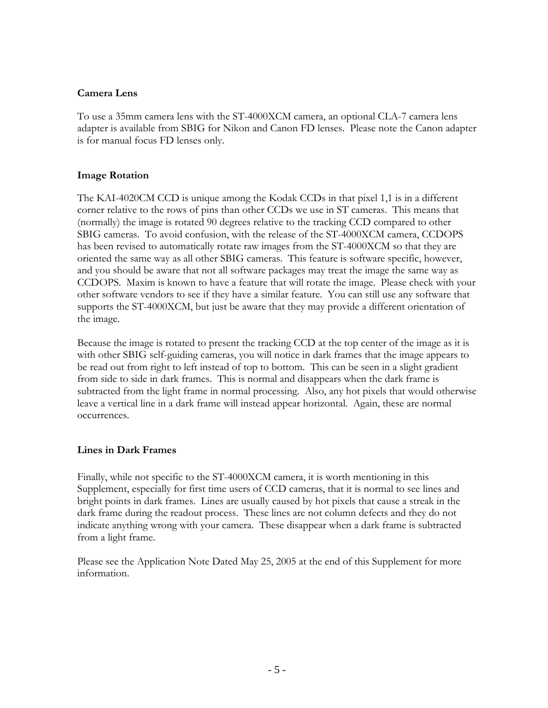#### <span id="page-4-0"></span>**Camera Lens**

To use a 35mm camera lens with the ST-4000XCM camera, an optional CLA-7 camera lens adapter is available from SBIG for Nikon and Canon FD lenses. Please note the Canon adapter is for manual focus FD lenses only.

#### **Image Rotation**

The KAI-4020CM CCD is unique among the Kodak CCDs in that pixel 1,1 is in a different corner relative to the rows of pins than other CCDs we use in ST cameras. This means that (normally) the image is rotated 90 degrees relative to the tracking CCD compared to other SBIG cameras. To avoid confusion, with the release of the ST-4000XCM camera, CCDOPS has been revised to automatically rotate raw images from the ST-4000XCM so that they are oriented the same way as all other SBIG cameras. This feature is software specific, however, and you should be aware that not all software packages may treat the image the same way as CCDOPS. Maxim is known to have a feature that will rotate the image. Please check with your other software vendors to see if they have a similar feature. You can still use any software that supports the ST-4000XCM, but just be aware that they may provide a different orientation of the image.

Because the image is rotated to present the tracking CCD at the top center of the image as it is with other SBIG self-guiding cameras, you will notice in dark frames that the image appears to be read out from right to left instead of top to bottom. This can be seen in a slight gradient from side to side in dark frames. This is normal and disappears when the dark frame is subtracted from the light frame in normal processing. Also, any hot pixels that would otherwise leave a vertical line in a dark frame will instead appear horizontal. Again, these are normal occurrences.

#### **Lines in Dark Frames**

Finally, while not specific to the ST-4000XCM camera, it is worth mentioning in this Supplement, especially for first time users of CCD cameras, that it is normal to see lines and bright points in dark frames. Lines are usually caused by hot pixels that cause a streak in the dark frame during the readout process. These lines are not column defects and they do not indicate anything wrong with your camera. These disappear when a dark frame is subtracted from a light frame.

Please see the Application Note Dated May 25, 2005 at the end of this Supplement for more information.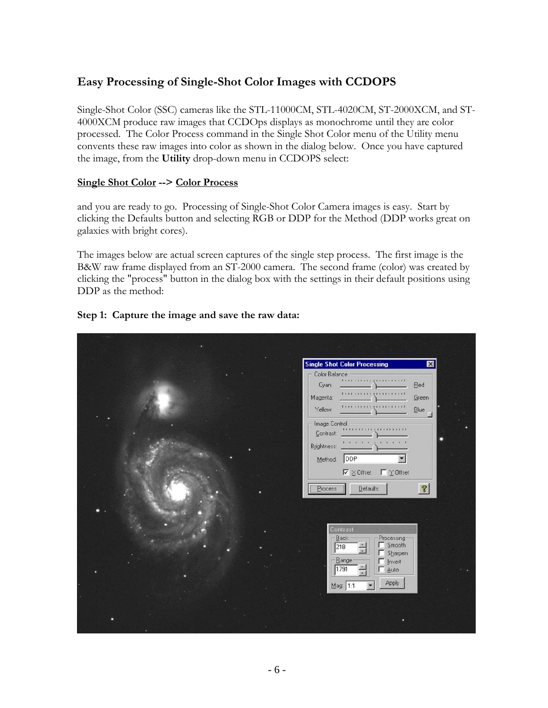## <span id="page-5-0"></span>**Easy Processing of Single-Shot Color Images with CCDOPS**

Single-Shot Color (SSC) cameras like the STL-11000CM, STL-4020CM, ST-2000XCM, and ST-4000XCM produce raw images that CCDOps displays as monochrome until they are color processed. The Color Process command in the Single Shot Color menu of the Utility menu convents these raw images into color as shown in the dialog below. Once you have captured the image, from the **Utility** drop-down menu in CCDOPS select:

#### **Single Shot Color --> Color Process**

and you are ready to go. Processing of Single-Shot Color Camera images is easy. Start by clicking the Defaults button and selecting RGB or DDP for the Method (DDP works great on galaxies with bright cores).

The images below are actual screen captures of the single step process. The first image is the B&W raw frame displayed from an ST-2000 camera. The second frame (color) was created by clicking the "process" button in the dialog box with the settings in their default positions using DDP as the method:

#### **Step 1: Capture the image and save the raw data:**

| <b>Single Shot Color Processing</b><br>$\vert x \vert$                                                                                    |
|-------------------------------------------------------------------------------------------------------------------------------------------|
| Color Balance<br><b><i>LISTERIAL LIBRARIANTE</i></b><br>Cyan:<br>:Red<br><b>FITTTITTITTITTI</b><br>Magenta:<br>:Green<br>Yellow:<br>:Blue |
| Image Control<br><u>moneymount</u><br>Contrast:<br>1.1.1.1<br>$\cdots$<br>Brightness:<br>DDP<br>Method:                                   |
| ■ Y Offset<br>$\nabla \times$ Offset<br>$\mathcal{C}$<br>Defaults<br>Process                                                              |
| Contrast<br>Back<br>Processing-<br>Smooth<br>218<br>Sharpen<br>Range<br>$\Box$ Invert<br>1791<br>$-$ Auto<br>Apply                        |
| $M$ ag: 1:1                                                                                                                               |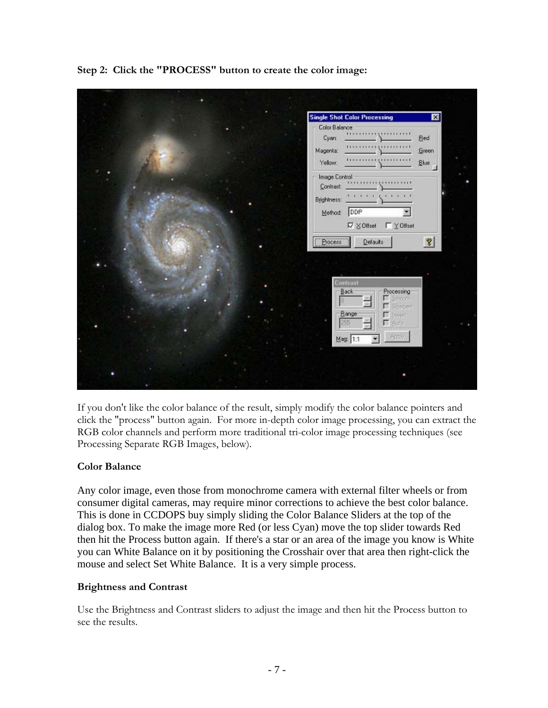<span id="page-6-0"></span>**Step 2: Click the "PROCESS" button to create the color image:** 



If you don't like the color balance of the result, simply modify the color balance pointers and click the "process" button again. For more in-depth color image processing, you can extract the RGB color channels and perform more traditional tri-color image processing techniques (see Processing Separate RGB Images, below).

#### **Color Balance**

Any color image, even those from monochrome camera with external filter wheels or from consumer digital cameras, may require minor corrections to achieve the best color balance. This is done in CCDOPS buy simply sliding the Color Balance Sliders at the top of the dialog box. To make the image more Red (or less Cyan) move the top slider towards Red then hit the Process button again. If there's a star or an area of the image you know is White you can White Balance on it by positioning the Crosshair over that area then right-click the mouse and select Set White Balance. It is a very simple process.

#### **Brightness and Contrast**

Use the Brightness and Contrast sliders to adjust the image and then hit the Process button to see the results.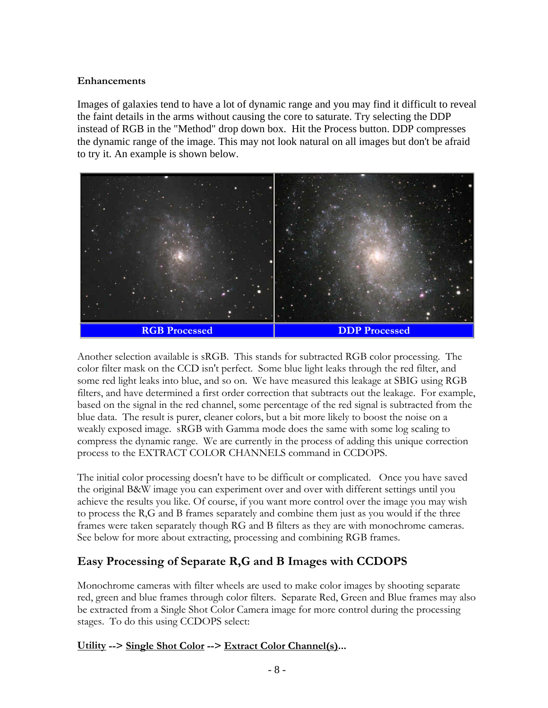#### <span id="page-7-0"></span>**Enhancements**

Images of galaxies tend to have a lot of dynamic range and you may find it difficult to reveal the faint details in the arms without causing the core to saturate. Try selecting the DDP instead of RGB in the "Method" drop down box. Hit the Process button. DDP compresses the dynamic range of the image. This may not look natural on all images but don't be afraid to try it. An example is shown below.



Another selection available is sRGB. This stands for subtracted RGB color processing. The color filter mask on the CCD isn't perfect. Some blue light leaks through the red filter, and some red light leaks into blue, and so on. We have measured this leakage at SBIG using RGB filters, and have determined a first order correction that subtracts out the leakage. For example, based on the signal in the red channel, some percentage of the red signal is subtracted from the blue data. The result is purer, cleaner colors, but a bit more likely to boost the noise on a weakly exposed image. sRGB with Gamma mode does the same with some log scaling to compress the dynamic range. We are currently in the process of adding this unique correction process to the EXTRACT COLOR CHANNELS command in CCDOPS.

The initial color processing doesn't have to be difficult or complicated. Once you have saved the original B&W image you can experiment over and over with different settings until you achieve the results you like. Of course, if you want more control over the image you may wish to process the R,G and B frames separately and combine them just as you would if the three frames were taken separately though RG and B filters as they are with monochrome cameras. See below for more about extracting, processing and combining RGB frames.

## **Easy Processing of Separate R,G and B Images with CCDOPS**

Monochrome cameras with filter wheels are used to make color images by shooting separate red, green and blue frames through color filters. Separate Red, Green and Blue frames may also be extracted from a Single Shot Color Camera image for more control during the processing stages. To do this using CCDOPS select:

#### **Utility --> Single Shot Color --> Extract Color Channel(s)...**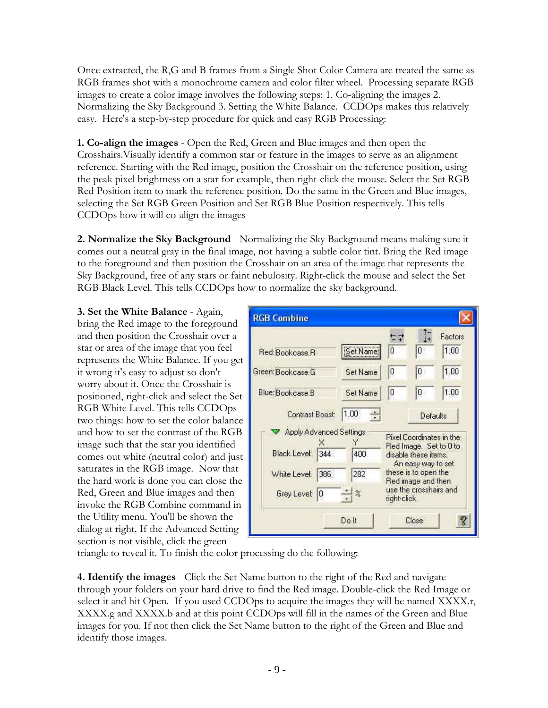Once extracted, the R,G and B frames from a Single Shot Color Camera are treated the same as RGB frames shot with a monochrome camera and color filter wheel. Processing separate RGB images to create a color image involves the following steps: 1. Co-aligning the images 2. Normalizing the Sky Background 3. Setting the White Balance. CCDOps makes this relatively easy. Here's a step-by-step procedure for quick and easy RGB Processing:

**1. Co-align the images** - Open the Red, Green and Blue images and then open the Crosshairs.Visually identify a common star or feature in the images to serve as an alignment reference. Starting with the Red image, position the Crosshair on the reference position, using the peak pixel brightness on a star for example, then right-click the mouse. Select the Set RGB Red Position item to mark the reference position. Do the same in the Green and Blue images, selecting the Set RGB Green Position and Set RGB Blue Position respectively. This tells CCDOps how it will co-align the images

**2. Normalize the Sky Background** - Normalizing the Sky Background means making sure it comes out a neutral gray in the final image, not having a subtle color tint. Bring the Red image to the foreground and then position the Crosshair on an area of the image that represents the Sky Background, free of any stars or faint nebulosity. Right-click the mouse and select the Set RGB Black Level. This tells CCDOps how to normalize the sky background.

**3. Set the White Balance** - Again, bring the Red image to the foreground and then position the Crosshair over a star or area of the image that you feel represents the White Balance. If you get it wrong it's easy to adjust so don't worry about it. Once the Crosshair is positioned, right-click and select the Set RGB White Level. This tells CCDOps two things: how to set the color balance and how to set the contrast of the RGB image such that the star you identified comes out white (neutral color) and just saturates in the RGB image. Now that the hard work is done you can close the Red, Green and Blue images and then invoke the RGB Combine command in the Utility menu. You'll be shown the dialog at right. If the Advanced Setting section is not visible, click the green

| <b>RGB Combine</b>      |                 |              |                                            |                          |
|-------------------------|-----------------|--------------|--------------------------------------------|--------------------------|
| Red: Bookcase, R        | Set Name        | 0            | O                                          | Factors<br>1.00          |
| Green: Bookcase.G       | Set Name        | 0            | 0                                          | 1.00                     |
| Blue: Bookcase B        | Set Name        | 10           | 0                                          | 1.00                     |
| Contrast Boost:         | 1.00<br>÷       |              | Defaults                                   |                          |
| Apply Advanced Settings |                 |              | Red Image Set to 0 to                      | Pixel Coordinates in the |
| Black Level:<br>344     | 400             |              | disable these items.<br>An easy way to set |                          |
| White Level:<br>386     | 282             |              | these is to open the<br>Red image and then |                          |
| Grey Level:<br>0        | $\frac{1}{2}$ % | right-click. | use the crosshairs and                     |                          |
|                         | Dolt            |              | Close                                      |                          |

triangle to reveal it. To finish the color processing do the following:

**4. Identify the images** - Click the Set Name button to the right of the Red and navigate through your folders on your hard drive to find the Red image. Double-click the Red Image or select it and hit Open. If you used CCDOps to acquire the images they will be named XXXX.r, XXXX.g and XXXX.b and at this point CCDOps will fill in the names of the Green and Blue images for you. If not then click the Set Name button to the right of the Green and Blue and identify those images.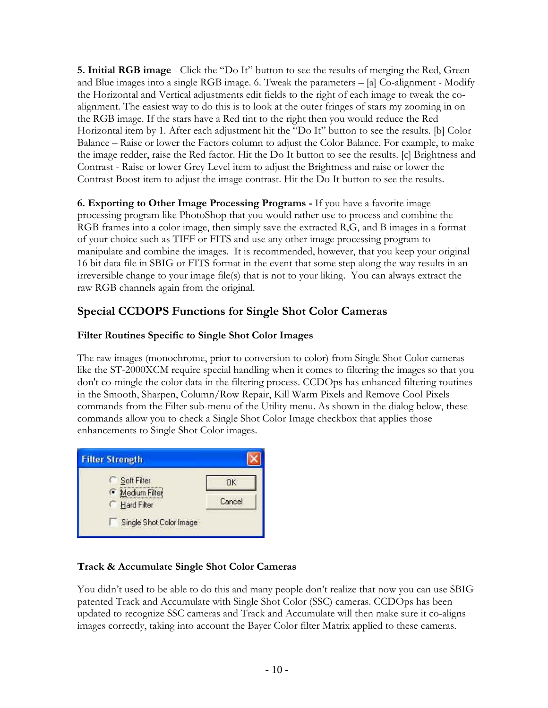<span id="page-9-0"></span>**5. Initial RGB image** - Click the "Do It" button to see the results of merging the Red, Green and Blue images into a single RGB image. 6. Tweak the parameters – [a] Co-alignment - Modify the Horizontal and Vertical adjustments edit fields to the right of each image to tweak the coalignment. The easiest way to do this is to look at the outer fringes of stars my zooming in on the RGB image. If the stars have a Red tint to the right then you would reduce the Red Horizontal item by 1. After each adjustment hit the "Do It" button to see the results. [b] Color Balance – Raise or lower the Factors column to adjust the Color Balance. For example, to make the image redder, raise the Red factor. Hit the Do It button to see the results. [c] Brightness and Contrast - Raise or lower Grey Level item to adjust the Brightness and raise or lower the Contrast Boost item to adjust the image contrast. Hit the Do It button to see the results.

**6. Exporting to Other Image Processing Programs -** If you have a favorite image processing program like PhotoShop that you would rather use to process and combine the RGB frames into a color image, then simply save the extracted R,G, and B images in a format of your choice such as TIFF or FITS and use any other image processing program to manipulate and combine the images. It is recommended, however, that you keep your original 16 bit data file in SBIG or FITS format in the event that some step along the way results in an irreversible change to your image file(s) that is not to your liking. You can always extract the raw RGB channels again from the original.

## **Special CCDOPS Functions for Single Shot Color Cameras**

### **Filter Routines Specific to Single Shot Color Images**

The raw images (monochrome, prior to conversion to color) from Single Shot Color cameras like the ST-2000XCM require special handling when it comes to filtering the images so that you don't co-mingle the color data in the filtering process. CCDOps has enhanced filtering routines in the Smooth, Sharpen, Column/Row Repair, Kill Warm Pixels and Remove Cool Pixels commands from the Filter sub-menu of the Utility menu. As shown in the dialog below, these commands allow you to check a Single Shot Color Image checkbox that applies those enhancements to Single Shot Color images.



#### **Track & Accumulate Single Shot Color Cameras**

You didn't used to be able to do this and many people don't realize that now you can use SBIG patented Track and Accumulate with Single Shot Color (SSC) cameras. CCDOps has been updated to recognize SSC cameras and Track and Accumulate will then make sure it co-aligns images correctly, taking into account the Bayer Color filter Matrix applied to these cameras.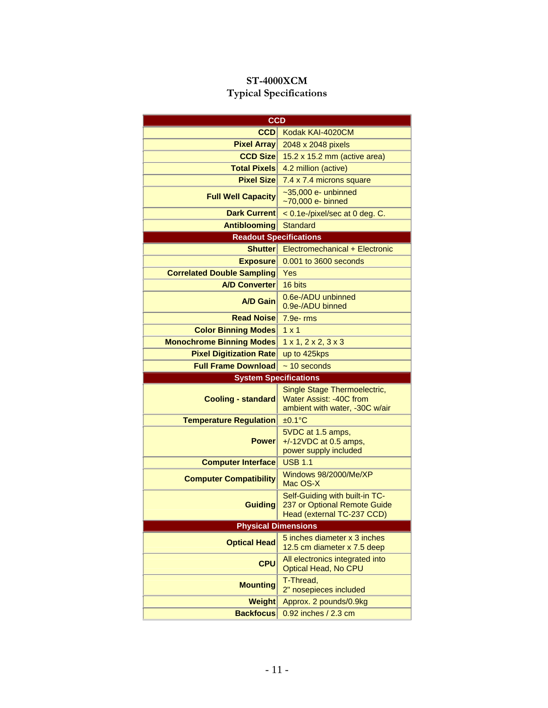## **ST-4000XCM Typical Specifications**

<span id="page-10-0"></span>

| <b>CCD</b>                        |                                                                                              |  |  |  |  |
|-----------------------------------|----------------------------------------------------------------------------------------------|--|--|--|--|
| CCD                               | Kodak KAI-4020CM                                                                             |  |  |  |  |
| <b>Pixel Array</b>                | 2048 x 2048 pixels                                                                           |  |  |  |  |
| <b>CCD Size</b>                   | 15.2 x 15.2 mm (active area)                                                                 |  |  |  |  |
| <b>Total Pixels</b>               | 4.2 million (active)                                                                         |  |  |  |  |
| <b>Pixel Size</b>                 | 7.4 x 7.4 microns square                                                                     |  |  |  |  |
| <b>Full Well Capacity</b>         | $\sim$ 35,000 e- unbinned<br>~70,000 e- binned                                               |  |  |  |  |
| <b>Dark Current</b>               | < 0.1e-/pixel/sec at 0 deg. C.                                                               |  |  |  |  |
| <b>Antiblooming</b>               | <b>Standard</b>                                                                              |  |  |  |  |
| <b>Readout Specifications</b>     |                                                                                              |  |  |  |  |
| <b>Shutter</b>                    | Electromechanical + Electronic                                                               |  |  |  |  |
| <b>Exposure</b>                   | 0.001 to 3600 seconds                                                                        |  |  |  |  |
| <b>Correlated Double Sampling</b> | Yes                                                                                          |  |  |  |  |
| <b>A/D Converter</b>              | 16 bits                                                                                      |  |  |  |  |
| <b>A/D Gain</b>                   | 0.6e-/ADU unbinned<br>0.9e-/ADU binned                                                       |  |  |  |  |
| <b>Read Noise</b>                 | $7.9e$ - $rms$                                                                               |  |  |  |  |
| <b>Color Binning Modes</b>        | $1 \times 1$                                                                                 |  |  |  |  |
| <b>Monochrome Binning Modes</b>   | 1 x 1, 2 x 2, 3 x 3                                                                          |  |  |  |  |
| <b>Pixel Digitization Rate</b>    | up to 425kps                                                                                 |  |  |  |  |
|                                   |                                                                                              |  |  |  |  |
| <b>Full Frame Download</b>        | $\sim$ 10 seconds                                                                            |  |  |  |  |
| <b>System Specifications</b>      |                                                                                              |  |  |  |  |
| <b>Cooling - standard</b>         | Single Stage Thermoelectric,<br>Water Assist: -40C from<br>ambient with water, -30C w/air    |  |  |  |  |
| <b>Temperature Regulation</b>     | $±0.1$ °C                                                                                    |  |  |  |  |
| <b>Power</b>                      | 5VDC at 1.5 amps,<br>$+/-12VDC$ at 0.5 amps,<br>power supply included                        |  |  |  |  |
| <b>Computer Interface</b>         | <b>USB 1.1</b>                                                                               |  |  |  |  |
| <b>Computer Compatibility</b>     | Windows 98/2000/Me/XP<br>Mac OS-X                                                            |  |  |  |  |
| <b>Guiding</b>                    | Self-Guiding with built-in TC-<br>237 or Optional Remote Guide<br>Head (external TC-237 CCD) |  |  |  |  |
| <b>Physical Dimensions</b>        |                                                                                              |  |  |  |  |
| <b>Optical Head</b>               | 5 inches diameter x 3 inches<br>12.5 cm diameter x 7.5 deep                                  |  |  |  |  |
| <b>CPU</b>                        | All electronics integrated into<br>Optical Head, No CPU                                      |  |  |  |  |
| <b>Mounting</b>                   | T-Thread,<br>2" nosepieces included                                                          |  |  |  |  |
| <b>Weight</b>                     | Approx. 2 pounds/0.9kg<br>0.92 inches / 2.3 cm                                               |  |  |  |  |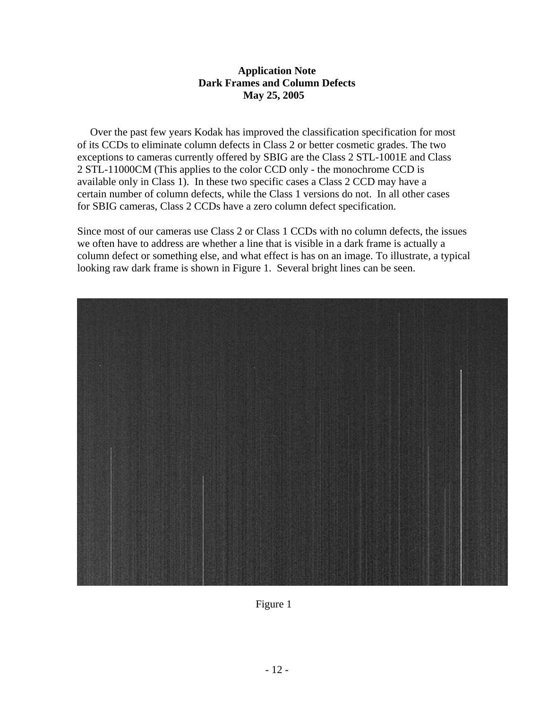#### **Application Note Dark Frames and Column Defects May 25, 2005**

<span id="page-11-0"></span>Over the past few years Kodak has improved the classification specification for most of its CCDs to eliminate column defects in Class 2 or better cosmetic grades. The two exceptions to cameras currently offered by SBIG are the Class 2 STL-1001E and Class 2 STL-11000CM (This applies to the color CCD only - the monochrome CCD is available only in Class 1). In these two specific cases a Class 2 CCD may have a certain number of column defects, while the Class 1 versions do not. In all other cases for SBIG cameras, Class 2 CCDs have a zero column defect specification.

Since most of our cameras use Class 2 or Class 1 CCDs with no column defects, the issues we often have to address are whether a line that is visible in a dark frame is actually a column defect or something else, and what effect is has on an image. To illustrate, a typical looking raw dark frame is shown in Figure 1. Several bright lines can be seen.



Figure 1